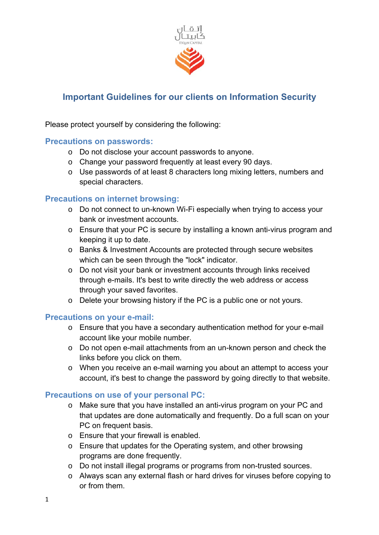

# **Important Guidelines for our clients on Information Security**

Please protect yourself by considering the following:

# **Precautions on passwords:**

- o Do not disclose your account passwords to anyone.
- o Change your password frequently at least every 90 days.
- o Use passwords of at least 8 characters long mixing letters, numbers and special characters.

# **Precautions on internet browsing:**

- o Do not connect to un-known Wi-Fi especially when trying to access your bank or investment accounts.
- o Ensure that your PC is secure by installing a known anti-virus program and keeping it up to date.
- o Banks & Investment Accounts are protected through secure websites which can be seen through the "lock" indicator.
- o Do not visit your bank or investment accounts through links received through e-mails. It's best to write directly the web address or access through your saved favorites.
- o Delete your browsing history if the PC is a public one or not yours.

# **Precautions on your e-mail:**

- o Ensure that you have a secondary authentication method for your e-mail account like your mobile number.
- o Do not open e-mail attachments from an un-known person and check the links before you click on them.
- o When you receive an e-mail warning you about an attempt to access your account, it's best to change the password by going directly to that website.

# **Precautions on use of your personal PC:**

- o Make sure that you have installed an anti-virus program on your PC and that updates are done automatically and frequently. Do a full scan on your PC on frequent basis.
- o Ensure that your firewall is enabled.
- o Ensure that updates for the Operating system, and other browsing programs are done frequently.
- o Do not install illegal programs or programs from non-trusted sources.
- o Always scan any external flash or hard drives for viruses before copying to or from them.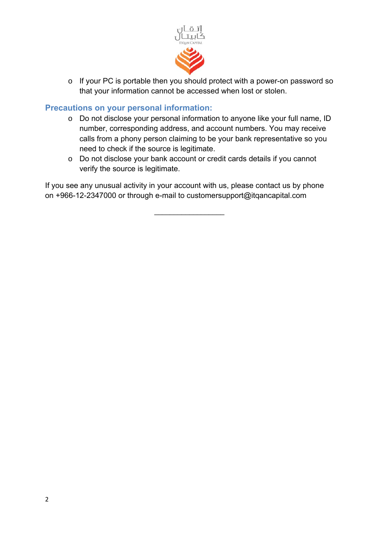

o If your PC is portable then you should protect with a power-on password so that your information cannot be accessed when lost or stolen.

# **Precautions on your personal information:**

- o Do not disclose your personal information to anyone like your full name, ID number, corresponding address, and account numbers. You may receive calls from a phony person claiming to be your bank representative so you need to check if the source is legitimate.
- o Do not disclose your bank account or credit cards details if you cannot verify the source is legitimate.

If you see any unusual activity in your account with us, please contact us by phone on +966-12-2347000 or through e-mail to customersupport@itqancapital.com

\_\_\_\_\_\_\_\_\_\_\_\_\_\_\_\_\_\_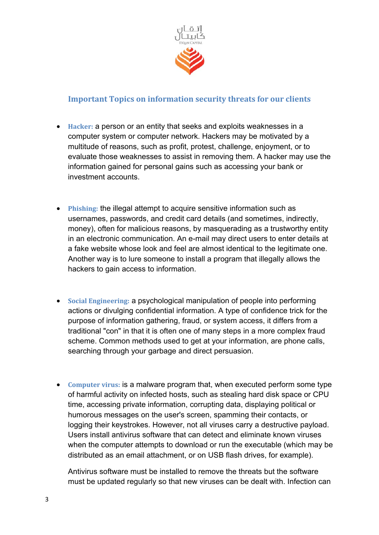

# **Important Topics on information security threats for our clients**

- **Hacker:** a person or an entity that seeks and exploits weaknesses in a computer system or computer network. Hackers may be motivated by a multitude of reasons, such as profit, protest, challenge, enjoyment, or to evaluate those weaknesses to assist in removing them. A hacker may use the information gained for personal gains such as accessing your bank or investment accounts.
- **Phishing:** the illegal attempt to acquire sensitive information such as usernames, passwords, and credit card details (and sometimes, indirectly, money), often for malicious reasons, by masquerading as a trustworthy entity in an electronic communication. An e-mail may direct users to enter details at a fake website whose look and feel are almost identical to the legitimate one. Another way is to lure someone to install a program that illegally allows the hackers to gain access to information.
- **Social Engineering:** a psychological manipulation of people into performing actions or divulging confidential information. A type of confidence trick for the purpose of information gathering, fraud, or system access, it differs from a traditional "con" in that it is often one of many steps in a more complex fraud scheme. Common methods used to get at your information, are phone calls, searching through your garbage and direct persuasion.
- **Computer virus:** is a malware program that, when executed perform some type of harmful activity on infected hosts, such as stealing hard disk space or CPU time, accessing private information, corrupting data, displaying political or humorous messages on the user's screen, spamming their contacts, or logging their keystrokes. However, not all viruses carry a destructive payload. Users install antivirus software that can detect and eliminate known viruses when the computer attempts to download or run the executable (which may be distributed as an email attachment, or on USB flash drives, for example).

Antivirus software must be installed to remove the threats but the software must be updated regularly so that new viruses can be dealt with. Infection can